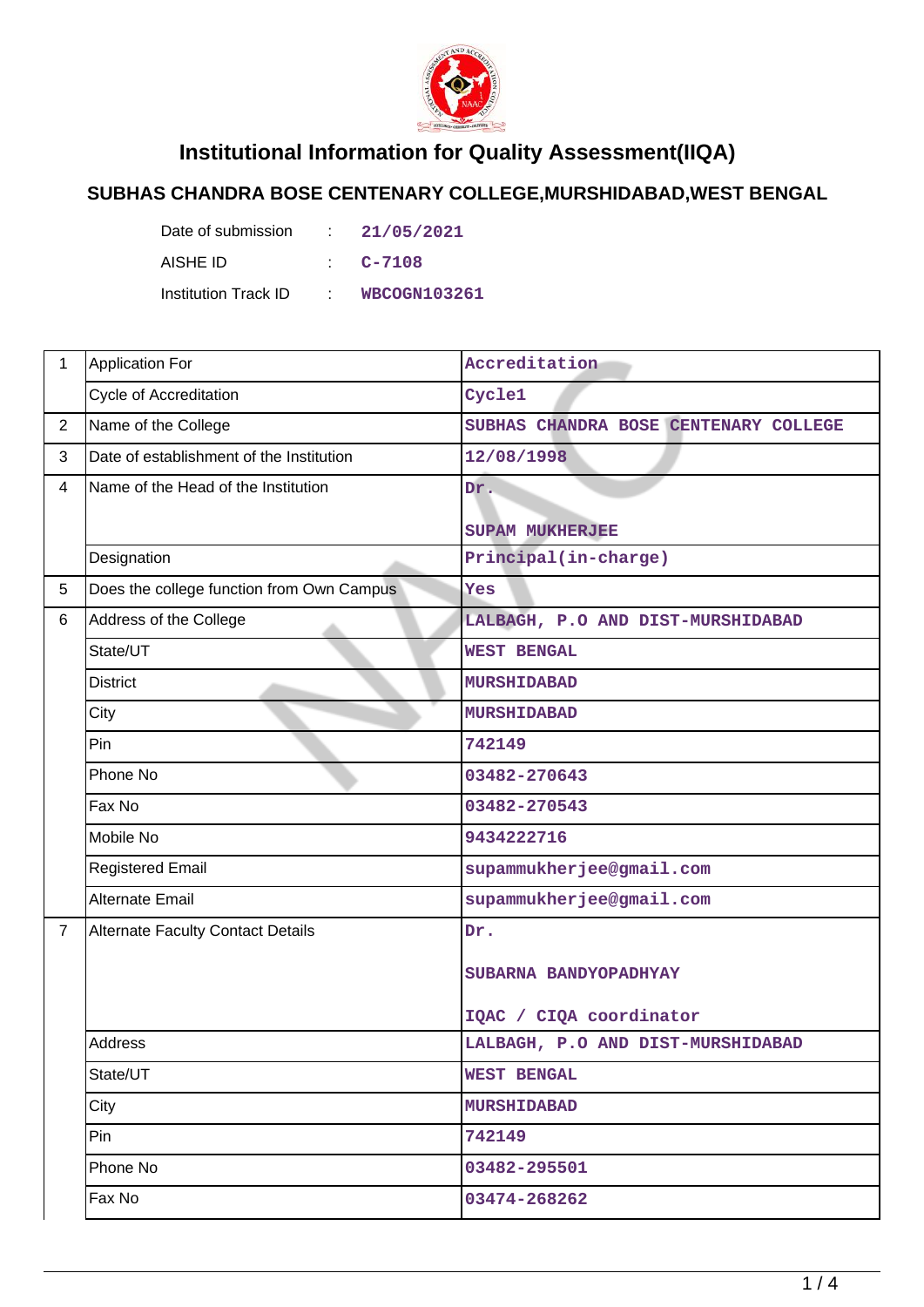

## **Institutional Information for Quality Assessment(IIQA)**

## **SUBHAS CHANDRA BOSE CENTENARY COLLEGE,MURSHIDABAD,WEST BENGAL**

Date of submission : 21/05/2021 AISHE ID : **C-7108** Institution Track ID : **WBCOGN103261**

| 1              | <b>Application For</b>                    | Accreditation                         |  |
|----------------|-------------------------------------------|---------------------------------------|--|
|                | Cycle of Accreditation                    | Cycle1                                |  |
| $\overline{2}$ | Name of the College                       | SUBHAS CHANDRA BOSE CENTENARY COLLEGE |  |
| 3              | Date of establishment of the Institution  | 12/08/1998                            |  |
| $\overline{4}$ | Name of the Head of the Institution       | $\overline{\text{Dr}}$ .              |  |
|                |                                           | <b>SUPAM MUKHERJEE</b>                |  |
|                | Designation                               | Principal(in-charge)                  |  |
| 5              | Does the college function from Own Campus | Yes                                   |  |
| 6              | Address of the College                    | LALBAGH, P.O AND DIST-MURSHIDABAD     |  |
|                | State/UT                                  | <b>WEST BENGAL</b>                    |  |
|                | <b>District</b>                           | <b>MURSHIDABAD</b>                    |  |
|                | City                                      | <b>MURSHIDABAD</b>                    |  |
|                | Pin                                       | 742149                                |  |
|                | Phone No                                  | 03482-270643                          |  |
|                | Fax No                                    | 03482-270543                          |  |
|                | Mobile No                                 | 9434222716                            |  |
|                | <b>Registered Email</b>                   | supammukherjee@gmail.com              |  |
|                | <b>Alternate Email</b>                    | supammukherjee@gmail.com              |  |
| $\overline{7}$ | Alternate Faculty Contact Details         | Dr.                                   |  |
|                |                                           | SUBARNA BANDYOPADHYAY                 |  |
|                |                                           |                                       |  |
|                |                                           | IQAC / CIQA coordinator               |  |
|                | Address                                   | LALBAGH, P.O AND DIST-MURSHIDABAD     |  |
|                | State/UT                                  | <b>WEST BENGAL</b>                    |  |
|                | City                                      | <b>MURSHIDABAD</b>                    |  |
|                | Pin                                       | 742149                                |  |
|                | Phone No                                  | 03482-295501                          |  |
|                | Fax No                                    | 03474-268262                          |  |
|                |                                           |                                       |  |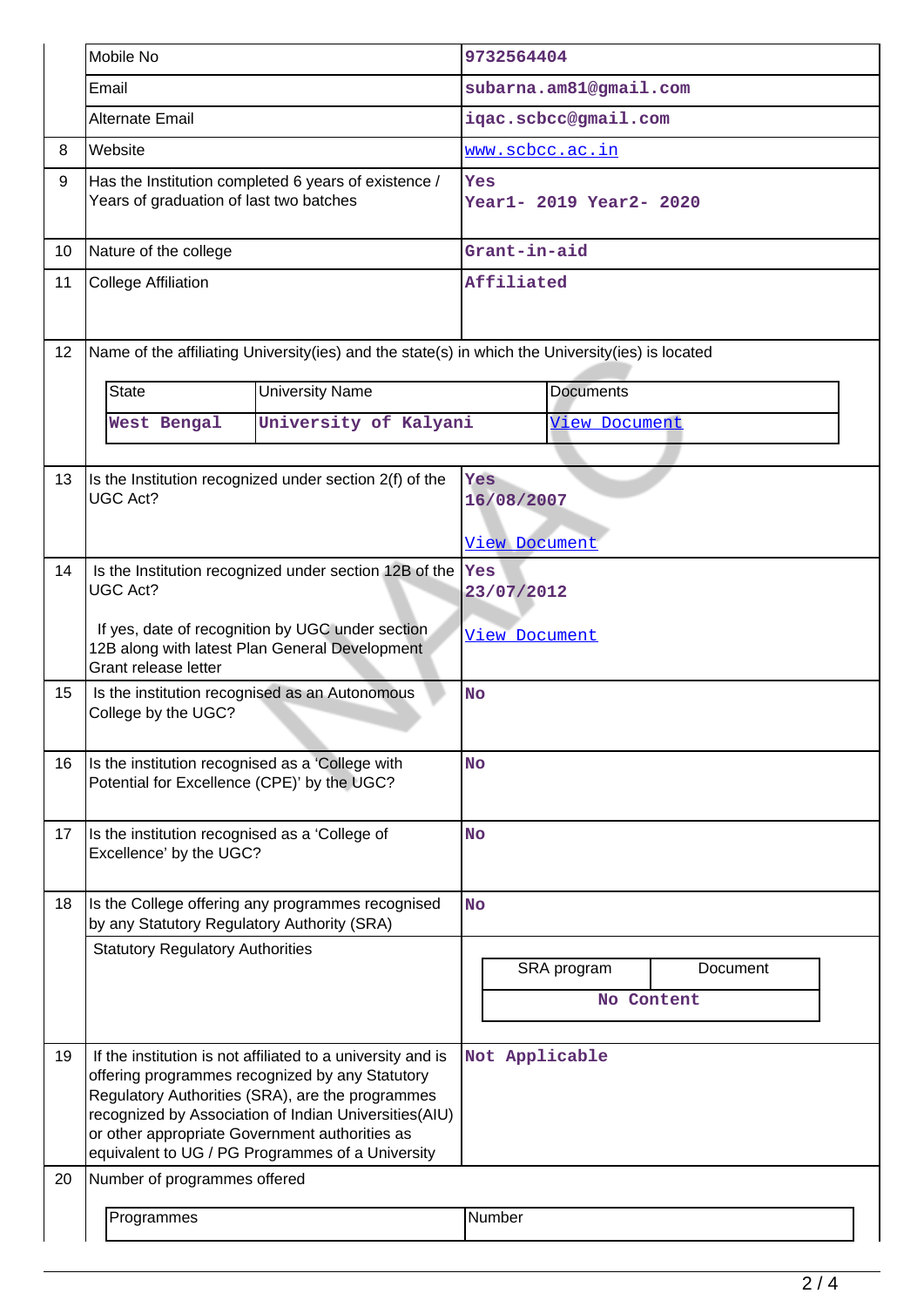|    | Mobile No                                                                                                                  |                                                                                                                                                                                                                                                                                 | 9732564404                     |               |          |  |
|----|----------------------------------------------------------------------------------------------------------------------------|---------------------------------------------------------------------------------------------------------------------------------------------------------------------------------------------------------------------------------------------------------------------------------|--------------------------------|---------------|----------|--|
|    | Email                                                                                                                      |                                                                                                                                                                                                                                                                                 | subarna.am81@gmail.com         |               |          |  |
|    | Alternate Email                                                                                                            |                                                                                                                                                                                                                                                                                 | iqac.scbcc@gmail.com           |               |          |  |
| 8  | Website                                                                                                                    |                                                                                                                                                                                                                                                                                 | www.scbcc.ac.in                |               |          |  |
| 9  | Has the Institution completed 6 years of existence /<br>Years of graduation of last two batches                            |                                                                                                                                                                                                                                                                                 | Yes<br>Year1- 2019 Year2- 2020 |               |          |  |
| 10 | Nature of the college                                                                                                      |                                                                                                                                                                                                                                                                                 | Grant-in-aid                   |               |          |  |
| 11 | <b>College Affiliation</b>                                                                                                 | Affiliated                                                                                                                                                                                                                                                                      |                                |               |          |  |
| 12 |                                                                                                                            | Name of the affiliating University(ies) and the state(s) in which the University(ies) is located                                                                                                                                                                                |                                |               |          |  |
|    | <b>State</b>                                                                                                               | <b>University Name</b>                                                                                                                                                                                                                                                          | <b>Documents</b>               |               |          |  |
|    | West Bengal                                                                                                                | University of Kalyani                                                                                                                                                                                                                                                           |                                | View Document |          |  |
|    |                                                                                                                            |                                                                                                                                                                                                                                                                                 |                                |               |          |  |
| 13 | <b>UGC Act?</b>                                                                                                            | Is the Institution recognized under section 2(f) of the                                                                                                                                                                                                                         | Yes                            |               |          |  |
|    |                                                                                                                            |                                                                                                                                                                                                                                                                                 | 16/08/2007                     |               |          |  |
|    |                                                                                                                            |                                                                                                                                                                                                                                                                                 | <b>View Document</b>           |               |          |  |
| 14 | Is the Institution recognized under section 12B of the<br><b>UGC Act?</b>                                                  | Yes<br>23/07/2012                                                                                                                                                                                                                                                               |                                |               |          |  |
|    | If yes, date of recognition by UGC under section<br>12B along with latest Plan General Development<br>Grant release letter | View Document                                                                                                                                                                                                                                                                   |                                |               |          |  |
| 15 | Is the institution recognised as an Autonomous<br>College by the UGC?                                                      | <b>No</b>                                                                                                                                                                                                                                                                       |                                |               |          |  |
| 16 | Is the institution recognised as a 'College with<br>Potential for Excellence (CPE)' by the UGC?                            |                                                                                                                                                                                                                                                                                 | <b>No</b>                      |               |          |  |
| 17 | Is the institution recognised as a 'College of<br>Excellence' by the UGC?                                                  |                                                                                                                                                                                                                                                                                 | <b>No</b>                      |               |          |  |
| 18 | Is the College offering any programmes recognised<br>by any Statutory Regulatory Authority (SRA)                           |                                                                                                                                                                                                                                                                                 | <b>No</b>                      |               |          |  |
|    | <b>Statutory Regulatory Authorities</b>                                                                                    |                                                                                                                                                                                                                                                                                 |                                | SRA program   | Document |  |
|    |                                                                                                                            |                                                                                                                                                                                                                                                                                 |                                | No Content    |          |  |
|    |                                                                                                                            |                                                                                                                                                                                                                                                                                 |                                |               |          |  |
| 19 | or other appropriate Government authorities as                                                                             | If the institution is not affiliated to a university and is<br>offering programmes recognized by any Statutory<br>Regulatory Authorities (SRA), are the programmes<br>recognized by Association of Indian Universities(AIU)<br>equivalent to UG / PG Programmes of a University | Not Applicable                 |               |          |  |
| 20 | Number of programmes offered                                                                                               |                                                                                                                                                                                                                                                                                 |                                |               |          |  |
|    | Programmes                                                                                                                 | Number                                                                                                                                                                                                                                                                          |                                |               |          |  |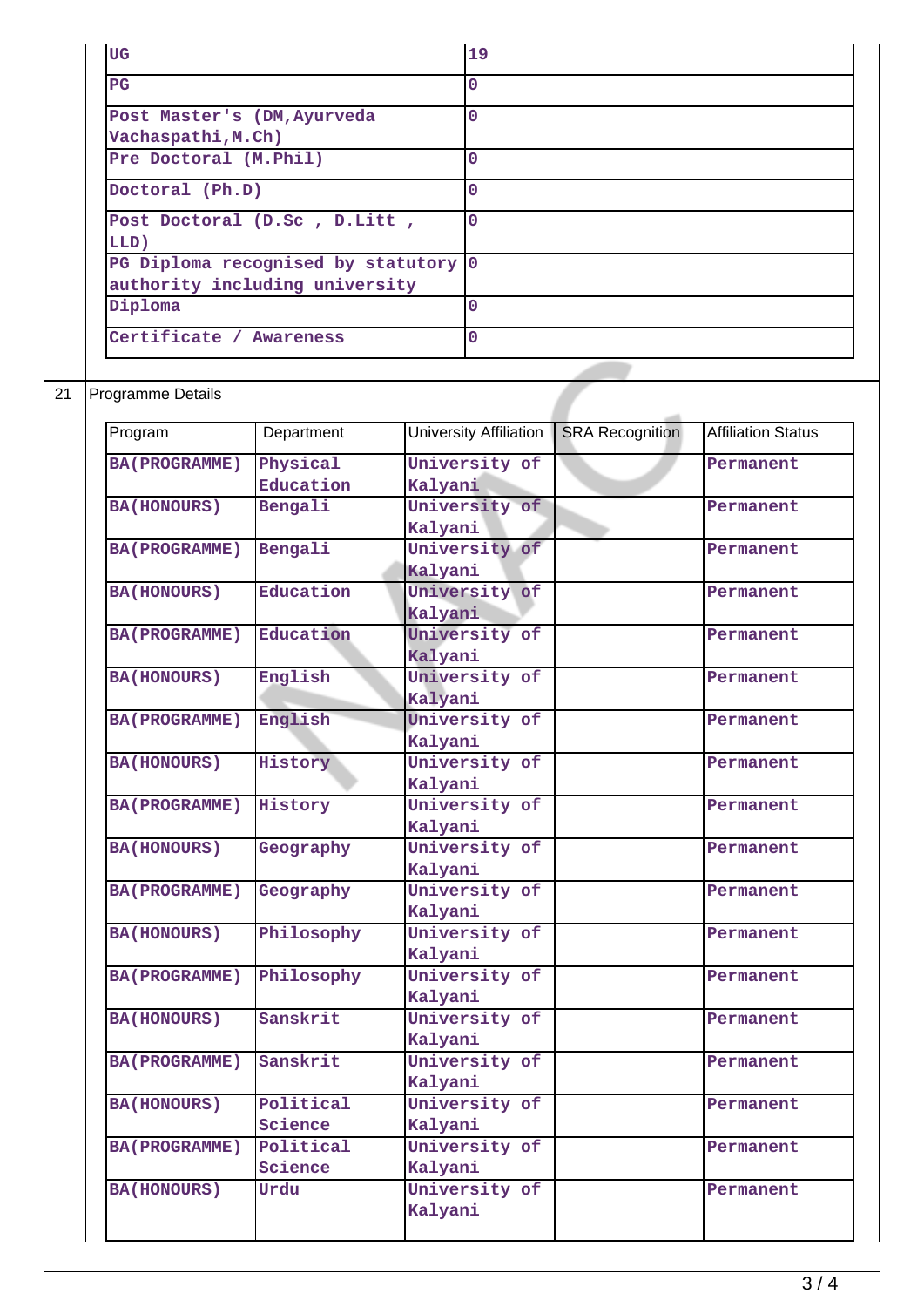| UG                                                                     | 19       |
|------------------------------------------------------------------------|----------|
| $_{\rm PG}$                                                            | 0        |
| Post Master's (DM, Ayurveda<br>Vachaspathi, M.Ch)                      | 0        |
| Pre Doctoral (M.Phil)                                                  | O        |
| Doctoral (Ph.D)                                                        | n        |
| Post Doctoral (D.Sc, D.Litt,<br>LLD)                                   | $\Omega$ |
| PG Diploma recognised by statutory 0<br>authority including university |          |
| Diploma                                                                | O        |
| Certificate / Awareness                                                | O        |

## 21 Programme Details

| Program              | Department | University Affiliation | <b>SRA Recognition</b> | <b>Affiliation Status</b> |
|----------------------|------------|------------------------|------------------------|---------------------------|
| <b>BA(PROGRAMME)</b> | Physical   | University of          |                        | Permanent                 |
|                      | Education  | Kalyani                |                        |                           |
| <b>BA(HONOURS)</b>   | Bengali    | University of          |                        | Permanent                 |
|                      |            | Kalyani                |                        |                           |
| <b>BA(PROGRAMME)</b> | Bengali    | University of          |                        | Permanent                 |
|                      |            | Kalyani                |                        |                           |
| <b>BA(HONOURS)</b>   | Education  | University of          |                        | Permanent                 |
|                      |            | Kalyani                |                        |                           |
| <b>BA(PROGRAMME)</b> | Education  | University of          |                        | Permanent                 |
|                      |            | Kalyani                |                        |                           |
| <b>BA(HONOURS)</b>   | English    | University of          |                        | Permanent                 |
|                      |            | Kalyani                |                        |                           |
| <b>BA(PROGRAMME)</b> | English    | University of          |                        | Permanent                 |
|                      |            | Kalyani                |                        |                           |
| <b>BA(HONOURS)</b>   | History    | University of          |                        | Permanent                 |
|                      |            | Kalyani                |                        |                           |
| <b>BA(PROGRAMME)</b> | History    | University of          |                        | Permanent                 |
|                      |            | Kalyani                |                        |                           |
| <b>BA(HONOURS)</b>   | Geography  | University of          |                        | Permanent                 |
|                      |            | Kalyani                |                        |                           |
| <b>BA(PROGRAMME)</b> | Geography  | University of          |                        | Permanent                 |
|                      |            | Kalyani                |                        |                           |
| <b>BA(HONOURS)</b>   | Philosophy | University of          |                        | Permanent                 |
|                      |            | Kalyani                |                        |                           |
| <b>BA(PROGRAMME)</b> | Philosophy | University of          |                        | Permanent                 |
|                      |            | Kalyani                |                        |                           |
| <b>BA(HONOURS)</b>   | Sanskrit   | University of          |                        | Permanent                 |
|                      |            | Kalyani                |                        |                           |
| <b>BA(PROGRAMME)</b> | Sanskrit   | University of          |                        | Permanent                 |
|                      |            | Kalyani                |                        |                           |
| <b>BA(HONOURS)</b>   | Political  | University of          |                        | Permanent                 |
|                      | Science    | Kalyani                |                        |                           |
| <b>BA(PROGRAMME)</b> | Political  | University of          |                        | Permanent                 |
|                      | Science    | Kalyani                |                        |                           |
| <b>BA(HONOURS)</b>   | Urdu       | University of          |                        | Permanent                 |
|                      |            | Kalyani                |                        |                           |
|                      |            |                        |                        |                           |